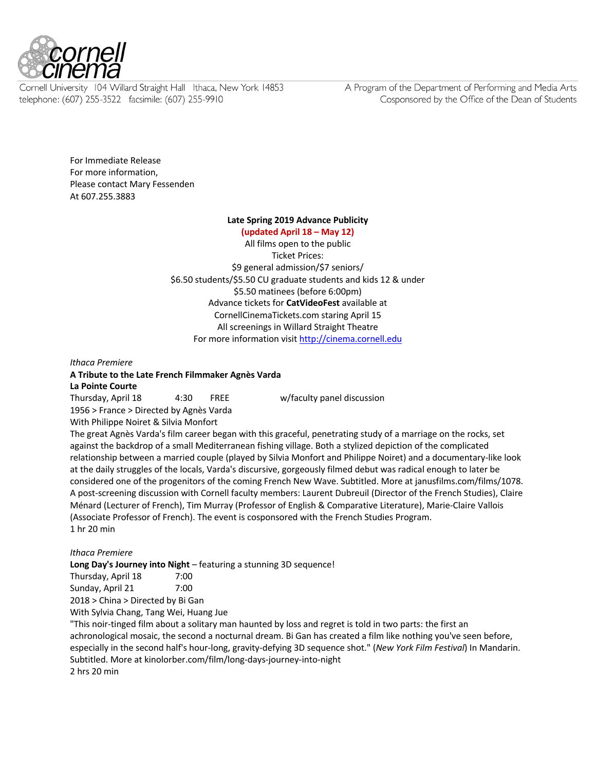

Cornell University 104 Willard Straight Hall Ithaca, New York 14853 telephone: (607) 255-3522 facsimile: (607) 255-9910

A Program of the Department of Performing and Media Arts Cosponsored by the Office of the Dean of Students

For Immediate Release For more information, Please contact Mary Fessenden At 607.255.3883

#### **Late Spring 2019 Advance Publicity**

**(updated April 18 – May 12)** All films open to the public Ticket Prices: \$9 general admission/\$7 seniors/ \$6.50 students/\$5.50 CU graduate students and kids 12 & under \$5.50 matinees (before 6:00pm) Advance tickets for **CatVideoFest** available at CornellCinemaTickets.com staring April 15 All screenings in Willard Straight Theatre For more information visit http://cinema.cornell.edu

*Ithaca Premiere*

**A Tribute to the Late French Filmmaker Agnès Varda La Pointe Courte**

Thursday, April 18 4:30 FREE w/faculty panel discussion 1956 > France > Directed by Agnès Varda

With Philippe Noiret & Silvia Monfort

The great Agnès Varda's film career began with this graceful, penetrating study of a marriage on the rocks, set against the backdrop of a small Mediterranean fishing village. Both a stylized depiction of the complicated relationship between a married couple (played by Silvia Monfort and Philippe Noiret) and a documentary-like look at the daily struggles of the locals, Varda's discursive, gorgeously filmed debut was radical enough to later be considered one of the progenitors of the coming French New Wave. Subtitled. More at janusfilms.com/films/1078. A post-screening discussion with Cornell faculty members: Laurent Dubreuil (Director of the French Studies), Claire Ménard (Lecturer of French), Tim Murray (Professor of English & Comparative Literature), Marie-Claire Vallois (Associate Professor of French). The event is cosponsored with the French Studies Program. 1 hr 20 min

#### *Ithaca Premiere*

**Long Day's Journey into Night** – featuring a stunning 3D sequence!

| Thursday, April 18                | 7:00 |
|-----------------------------------|------|
| Sunday, April 21                  | 7:00 |
| 2018 > China > Directed by Bi Gan |      |

With Sylvia Chang, Tang Wei, Huang Jue

"This noir-tinged film about a solitary man haunted by loss and regret is told in two parts: the first an achronological mosaic, the second a nocturnal dream. Bi Gan has created a film like nothing you've seen before, especially in the second half's hour-long, gravity-defying 3D sequence shot." (*New York Film Festival*) In Mandarin. Subtitled. More at kinolorber.com/film/long-days-journey-into-night 2 hrs 20 min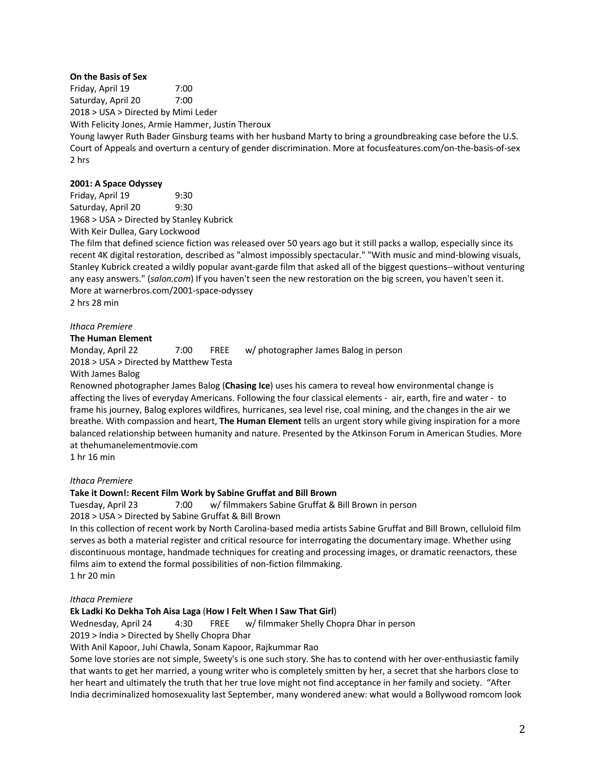# **On the Basis of Sex**

Friday, April 19 7:00 Saturday, April 20 7:00 2018 > USA > Directed by Mimi Leder

With Felicity Jones, Armie Hammer, Justin Theroux

Young lawyer Ruth Bader Ginsburg teams with her husband Marty to bring a groundbreaking case before the U.S. Court of Appeals and overturn a century of gender discrimination. More at focusfeatures.com/on-the-basis-of-sex 2 hrs

## **2001: A Space Odyssey**

Friday, April 19 9:30 Saturday, April 20 9:30 1968 > USA > Directed by Stanley Kubrick With Keir Dullea, Gary Lockwood

The film that defined science fiction was released over 50 years ago but it still packs a wallop, especially since its recent 4K digital restoration, described as "almost impossibly spectacular." "With music and mind-blowing visuals, Stanley Kubrick created a wildly popular avant-garde film that asked all of the biggest questions--without venturing any easy answers." (*salon.com*) If you haven't seen the new restoration on the big screen, you haven't seen it. More at warnerbros.com/2001-space-odyssey 2 hrs 28 min

## *Ithaca Premiere*

**The Human Element**

Monday, April 22 7:00 FREE w/ photographer James Balog in person 2018 > USA > Directed by Matthew Testa

With James Balog

Renowned photographer James Balog (**Chasing Ice**) uses his camera to reveal how environmental change is affecting the lives of everyday Americans. Following the four classical elements - air, earth, fire and water - to frame his journey, Balog explores wildfires, hurricanes, sea level rise, coal mining, and the changes in the air we breathe. With compassion and heart, **The Human Element** tells an urgent story while giving inspiration for a more balanced relationship between humanity and nature. Presented by the Atkinson Forum in American Studies. More at thehumanelementmovie.com

1 hr 16 min

## *Ithaca Premiere*

# **Take it Down!: Recent Film Work by Sabine Gruffat and Bill Brown**

Tuesday, April 23 7:00 w/ filmmakers Sabine Gruffat & Bill Brown in person

2018 > USA > Directed by Sabine Gruffat & Bill Brown

In this collection of recent work by North Carolina-based media artists Sabine Gruffat and Bill Brown, celluloid film serves as both a material register and critical resource for interrogating the documentary image. Whether using discontinuous montage, handmade techniques for creating and processing images, or dramatic reenactors, these films aim to extend the formal possibilities of non-fiction filmmaking. 1 hr 20 min

### *Ithaca Premiere*

# **Ek Ladki Ko Dekha Toh Aisa Laga** (**How I Felt When I Saw That Girl**)

Wednesday, April 24 4:30 FREE w/ filmmaker Shelly Chopra Dhar in person

2019 > India > Directed by Shelly Chopra Dhar

With Anil Kapoor, Juhi Chawla, Sonam Kapoor, Rajkummar Rao

Some love stories are not simple, Sweety's is one such story. She has to contend with her over-enthusiastic family that wants to get her married, a young writer who is completely smitten by her, a secret that she harbors close to her heart and ultimately the truth that her true love might not find acceptance in her family and society. "After India decriminalized homosexuality last September, many wondered anew: what would a Bollywood romcom look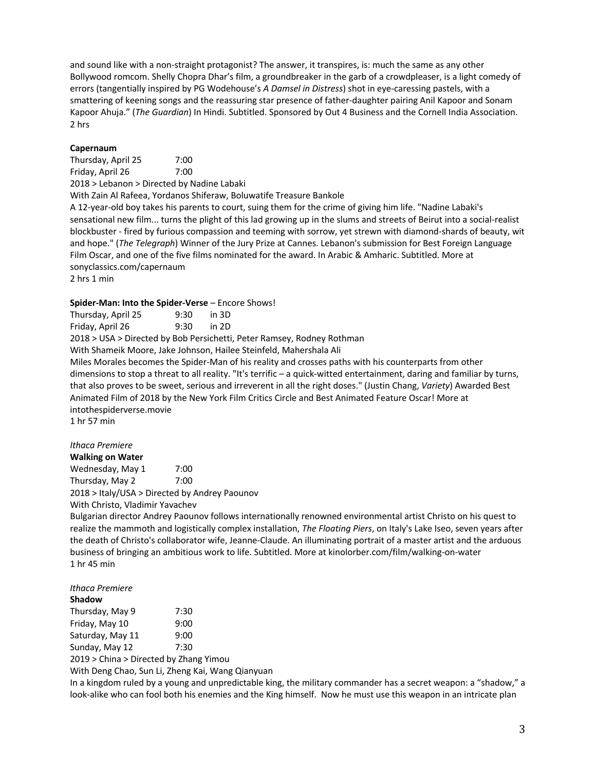and sound like with a non-straight protagonist? The answer, it transpires, is: much the same as any other Bollywood romcom. Shelly Chopra Dhar's film, a groundbreaker in the garb of a crowdpleaser, is a light comedy of errors (tangentially inspired by PG Wodehouse's *A Damsel in Distress*) shot in eye-caressing pastels, with a smattering of keening songs and the reassuring star presence of father-daughter pairing Anil Kapoor and Sonam Kapoor Ahuja." (*The Guardian*) In Hindi. Subtitled. Sponsored by Out 4 Business and the Cornell India Association. 2 hrs

## **Capernaum**

Thursday, April 25 7:00 Friday, April 26 7:00 2018 > Lebanon > Directed by Nadine Labaki With Zain Al Rafeea, Yordanos Shiferaw, Boluwatife Treasure Bankole A 12-year-old boy takes his parents to court, suing them for the crime of giving him life. "Nadine Labaki's sensational new film... turns the plight of this lad growing up in the slums and streets of Beirut into a social-realist blockbuster - fired by furious compassion and teeming with sorrow, yet strewn with diamond-shards of beauty, wit and hope." (*The Telegraph*) Winner of the Jury Prize at Cannes. Lebanon's submission for Best Foreign Language Film Oscar, and one of the five films nominated for the award. In Arabic & Amharic. Subtitled. More at sonyclassics.com/capernaum 2 hrs 1 min

#### Spider-Man: Into the Spider-Verse - Encore Shows!

Thursday, April 25 9:30 in 3D Friday, April 26 9:30 in 2D 2018 > USA > Directed by Bob Persichetti, Peter Ramsey, Rodney Rothman With Shameik Moore, Jake Johnson, Hailee Steinfeld, Mahershala Ali Miles Morales becomes the Spider-Man of his reality and crosses paths with his counterparts from other dimensions to stop a threat to all reality. "It's terrific – a quick-witted entertainment, daring and familiar by turns, that also proves to be sweet, serious and irreverent in all the right doses." (Justin Chang, *Variety*) Awarded Best Animated Film of 2018 by the New York Film Critics Circle and Best Animated Feature Oscar! More at intothespiderverse.movie 1 hr 57 min

# *Ithaca Premiere*

**Walking on Water** Wednesday, May 1 7:00 Thursday, May 2 7:00 2018 > Italy/USA > Directed by Andrey Paounov With Christo, Vladimir Yavachev

Bulgarian director Andrey Paounov follows internationally renowned environmental artist Christo on his quest to realize the mammoth and logistically complex installation, *The Floating Piers*, on Italy's Lake Iseo, seven years after the death of Christo's collaborator wife, Jeanne-Claude. An illuminating portrait of a master artist and the arduous business of bringing an ambitious work to life. Subtitled. More at kinolorber.com/film/walking-on-water 1 hr 45 min

# *Ithaca Premiere*

| Shadow                                 |      |
|----------------------------------------|------|
| Thursday, May 9                        | 7:30 |
| Friday, May 10                         | 9:00 |
| Saturday, May 11                       | 9:00 |
| Sunday, May 12                         | 7:30 |
| 2019 > China > Directed by Zhang Yimou |      |

With Deng Chao, Sun Li, Zheng Kai, Wang Qianyuan

In a kingdom ruled by a young and unpredictable king, the military commander has a secret weapon: a "shadow," a look-alike who can fool both his enemies and the King himself. Now he must use this weapon in an intricate plan